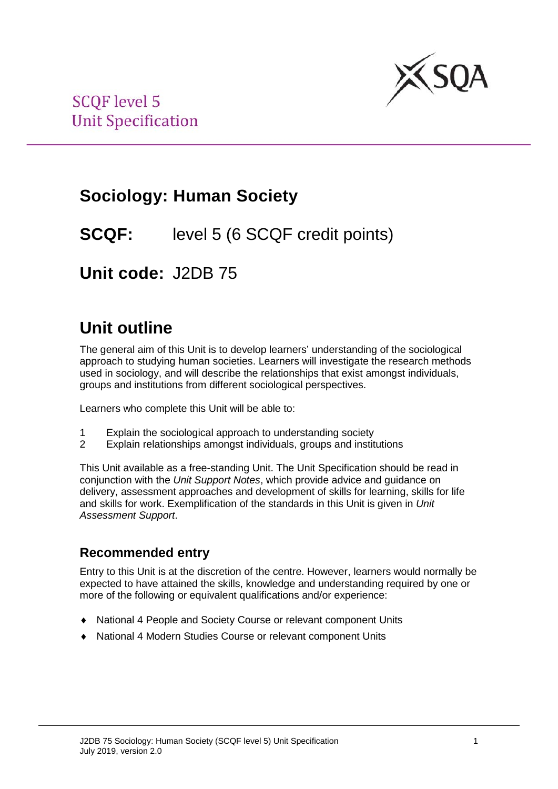

# **Sociology: Human Society**

## **SCQF:** level 5 (6 SCQF credit points)

**Unit code:** J2DB 75

# **Unit outline**

The general aim of this Unit is to develop learners' understanding of the sociological approach to studying human societies. Learners will investigate the research methods used in sociology, and will describe the relationships that exist amongst individuals, groups and institutions from different sociological perspectives.

Learners who complete this Unit will be able to:

- 1 Explain the sociological approach to understanding society
- 2 Explain relationships amongst individuals, groups and institutions

This Unit available as a free-standing Unit. The Unit Specification should be read in conjunction with the *Unit Support Notes*, which provide advice and guidance on delivery, assessment approaches and development of skills for learning, skills for life and skills for work. Exemplification of the standards in this Unit is given in *Unit Assessment Support*.

### **Recommended entry**

Entry to this Unit is at the discretion of the centre. However, learners would normally be expected to have attained the skills, knowledge and understanding required by one or more of the following or equivalent qualifications and/or experience:

- ♦ National 4 People and Society Course or relevant component Units
- National 4 Modern Studies Course or relevant component Units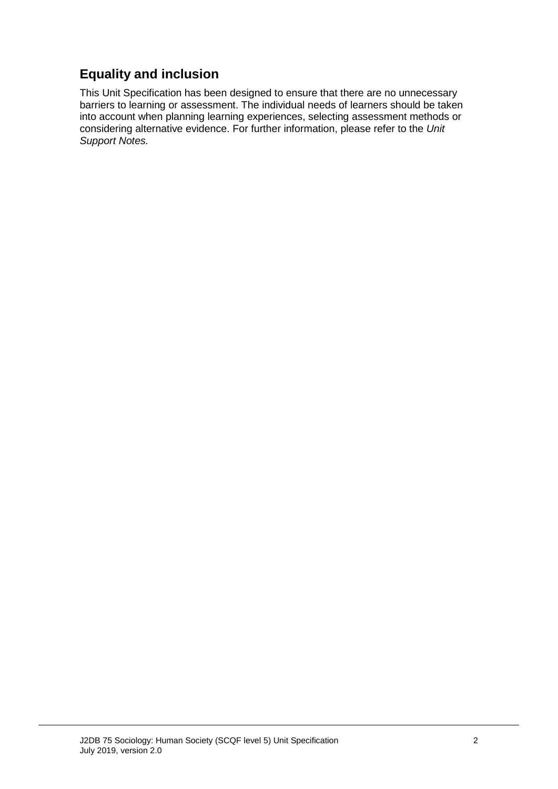### **Equality and inclusion**

This Unit Specification has been designed to ensure that there are no unnecessary barriers to learning or assessment. The individual needs of learners should be taken into account when planning learning experiences, selecting assessment methods or considering alternative evidence. For further information, please refer to the *Unit Support Notes.*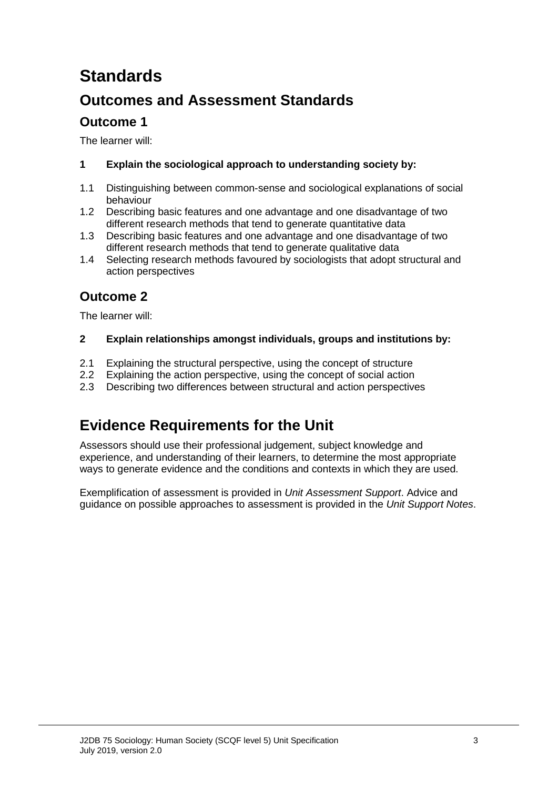# **Standards**

### **Outcomes and Assessment Standards**

### **Outcome 1**

The learner will:

### **1 Explain the sociological approach to understanding society by:**

- 1.1 Distinguishing between common-sense and sociological explanations of social behaviour
- 1.2 Describing basic features and one advantage and one disadvantage of two different research methods that tend to generate quantitative data
- 1.3 Describing basic features and one advantage and one disadvantage of two different research methods that tend to generate qualitative data
- 1.4 Selecting research methods favoured by sociologists that adopt structural and action perspectives

### **Outcome 2**

The learner will:

### **2 Explain relationships amongst individuals, groups and institutions by:**

- 2.1 Explaining the structural perspective, using the concept of structure<br>2.2 Explaining the action perspective, using the concept of social action
- 2.2 Explaining the action perspective, using the concept of social action<br>2.3 Describing two differences between structural and action perspective
- 2.3 Describing two differences between structural and action perspectives

### **Evidence Requirements for the Unit**

Assessors should use their professional judgement, subject knowledge and experience, and understanding of their learners, to determine the most appropriate ways to generate evidence and the conditions and contexts in which they are used.

Exemplification of assessment is provided in *Unit Assessment Support*. Advice and guidance on possible approaches to assessment is provided in the *Unit Support Notes*.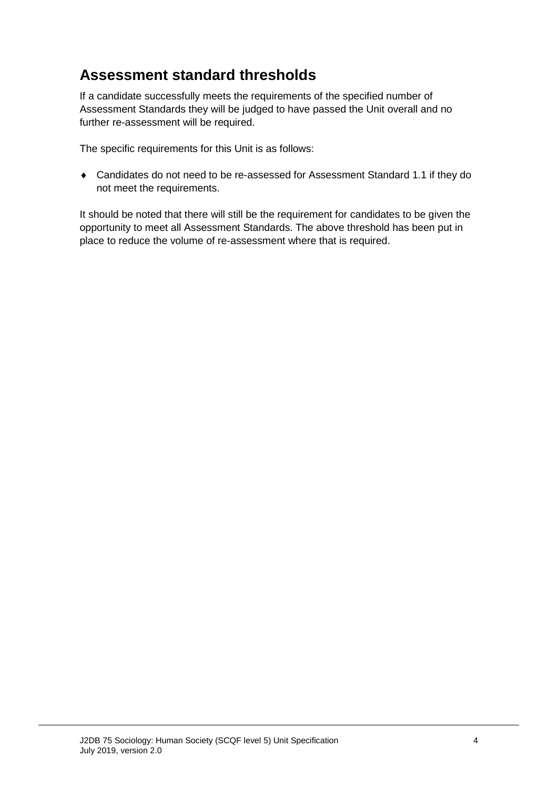### **Assessment standard thresholds**

If a candidate successfully meets the requirements of the specified number of Assessment Standards they will be judged to have passed the Unit overall and no further re-assessment will be required.

The specific requirements for this Unit is as follows:

♦ Candidates do not need to be re-assessed for Assessment Standard 1.1 if they do not meet the requirements.

It should be noted that there will still be the requirement for candidates to be given the opportunity to meet all Assessment Standards. The above threshold has been put in place to reduce the volume of re-assessment where that is required.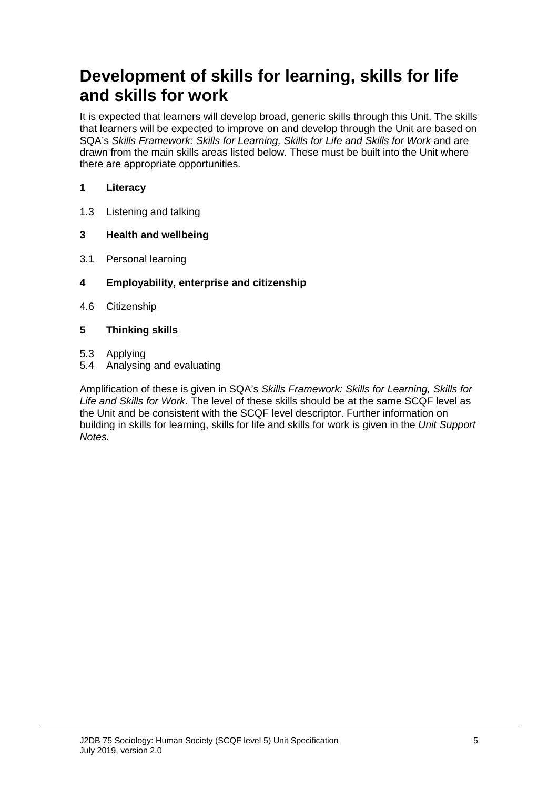## **Development of skills for learning, skills for life and skills for work**

It is expected that learners will develop broad, generic skills through this Unit. The skills that learners will be expected to improve on and develop through the Unit are based on SQA's *Skills Framework: Skills for Learning, Skills for Life and Skills for Work* and are drawn from the main skills areas listed below. These must be built into the Unit where there are appropriate opportunities.

### **1 Literacy**

1.3 Listening and talking

#### **3 Health and wellbeing**

- 3.1 Personal learning
- **4 Employability, enterprise and citizenship**
- 4.6 Citizenship

#### **5 Thinking skills**

- 5.3 Applying
- 5.4 Analysing and evaluating

Amplification of these is given in SQA's *Skills Framework: Skills for Learning, Skills for Life and Skills for Work.* The level of these skills should be at the same SCQF level as the Unit and be consistent with the SCQF level descriptor. Further information on building in skills for learning, skills for life and skills for work is given in the *Unit Support Notes.*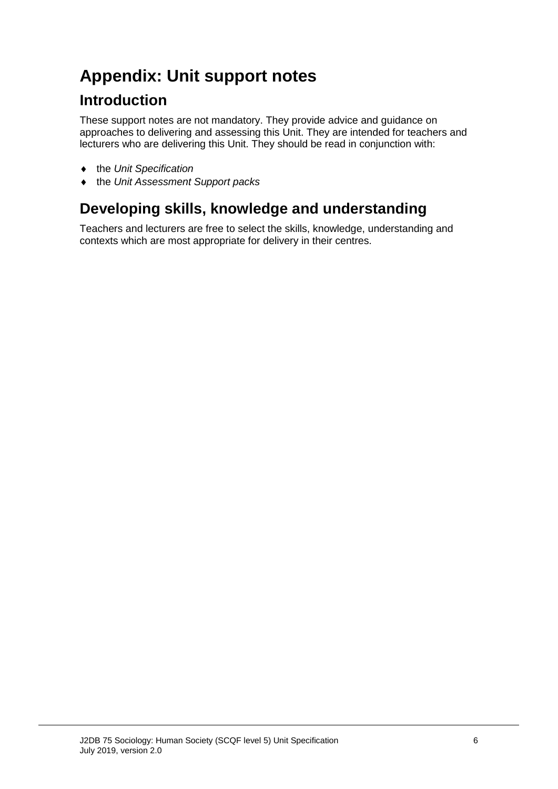# **Appendix: Unit support notes**

### **Introduction**

These support notes are not mandatory. They provide advice and guidance on approaches to delivering and assessing this Unit. They are intended for teachers and lecturers who are delivering this Unit. They should be read in conjunction with:

- ♦ the *Unit Specification*
- ♦ the *Unit Assessment Support packs*

## **Developing skills, knowledge and understanding**

Teachers and lecturers are free to select the skills, knowledge, understanding and contexts which are most appropriate for delivery in their centres.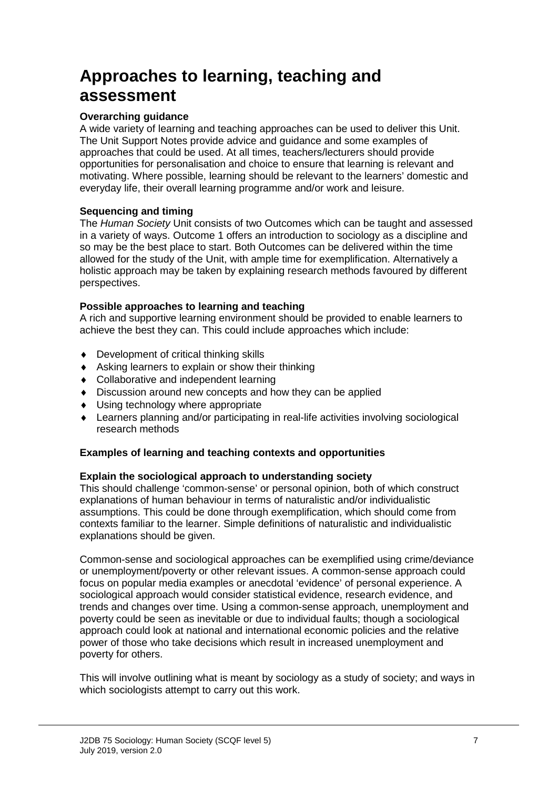# **Approaches to learning, teaching and assessment**

#### **Overarching guidance**

A wide variety of learning and teaching approaches can be used to deliver this Unit. The Unit Support Notes provide advice and guidance and some examples of approaches that could be used. At all times, teachers/lecturers should provide opportunities for personalisation and choice to ensure that learning is relevant and motivating. Where possible, learning should be relevant to the learners' domestic and everyday life, their overall learning programme and/or work and leisure.

#### **Sequencing and timing**

The *Human Society* Unit consists of two Outcomes which can be taught and assessed in a variety of ways. Outcome 1 offers an introduction to sociology as a discipline and so may be the best place to start. Both Outcomes can be delivered within the time allowed for the study of the Unit, with ample time for exemplification. Alternatively a holistic approach may be taken by explaining research methods favoured by different perspectives.

#### **Possible approaches to learning and teaching**

A rich and supportive learning environment should be provided to enable learners to achieve the best they can. This could include approaches which include:

- ♦ Development of critical thinking skills
- ♦ Asking learners to explain or show their thinking
- ♦ Collaborative and independent learning
- ♦ Discussion around new concepts and how they can be applied
- ♦ Using technology where appropriate
- ♦ Learners planning and/or participating in real-life activities involving sociological research methods

### **Examples of learning and teaching contexts and opportunities**

#### **Explain the sociological approach to understanding society**

This should challenge 'common-sense' or personal opinion, both of which construct explanations of human behaviour in terms of naturalistic and/or individualistic assumptions. This could be done through exemplification, which should come from contexts familiar to the learner. Simple definitions of naturalistic and individualistic explanations should be given.

Common-sense and sociological approaches can be exemplified using crime/deviance or unemployment/poverty or other relevant issues. A common-sense approach could focus on popular media examples or anecdotal 'evidence' of personal experience. A sociological approach would consider statistical evidence, research evidence, and trends and changes over time. Using a common-sense approach, unemployment and poverty could be seen as inevitable or due to individual faults; though a sociological approach could look at national and international economic policies and the relative power of those who take decisions which result in increased unemployment and poverty for others.

This will involve outlining what is meant by sociology as a study of society; and ways in which sociologists attempt to carry out this work.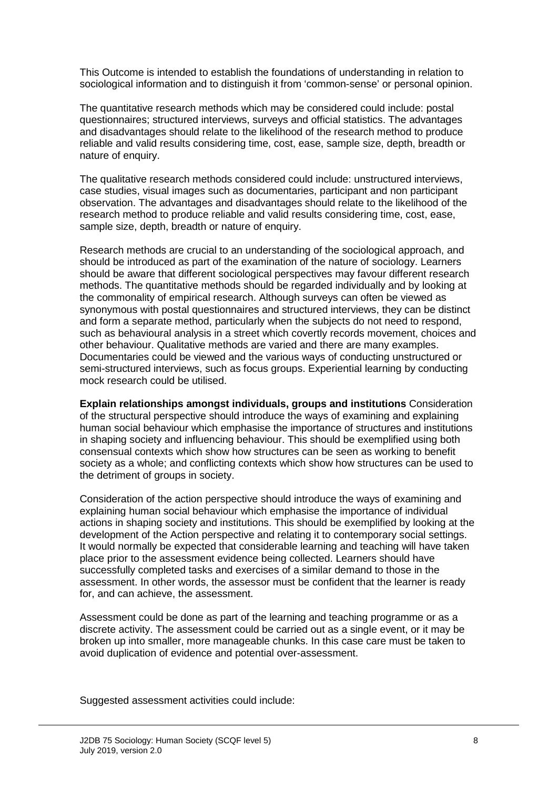This Outcome is intended to establish the foundations of understanding in relation to sociological information and to distinguish it from 'common-sense' or personal opinion.

The quantitative research methods which may be considered could include: postal questionnaires; structured interviews, surveys and official statistics. The advantages and disadvantages should relate to the likelihood of the research method to produce reliable and valid results considering time, cost, ease, sample size, depth, breadth or nature of enquiry.

The qualitative research methods considered could include: unstructured interviews, case studies, visual images such as documentaries, participant and non participant observation. The advantages and disadvantages should relate to the likelihood of the research method to produce reliable and valid results considering time, cost, ease, sample size, depth, breadth or nature of enquiry.

Research methods are crucial to an understanding of the sociological approach, and should be introduced as part of the examination of the nature of sociology. Learners should be aware that different sociological perspectives may favour different research methods. The quantitative methods should be regarded individually and by looking at the commonality of empirical research. Although surveys can often be viewed as synonymous with postal questionnaires and structured interviews, they can be distinct and form a separate method, particularly when the subjects do not need to respond, such as behavioural analysis in a street which covertly records movement, choices and other behaviour. Qualitative methods are varied and there are many examples. Documentaries could be viewed and the various ways of conducting unstructured or semi-structured interviews, such as focus groups. Experiential learning by conducting mock research could be utilised.

**Explain relationships amongst individuals, groups and institutions** Consideration of the structural perspective should introduce the ways of examining and explaining human social behaviour which emphasise the importance of structures and institutions in shaping society and influencing behaviour. This should be exemplified using both consensual contexts which show how structures can be seen as working to benefit society as a whole; and conflicting contexts which show how structures can be used to the detriment of groups in society.

Consideration of the action perspective should introduce the ways of examining and explaining human social behaviour which emphasise the importance of individual actions in shaping society and institutions. This should be exemplified by looking at the development of the Action perspective and relating it to contemporary social settings. It would normally be expected that considerable learning and teaching will have taken place prior to the assessment evidence being collected. Learners should have successfully completed tasks and exercises of a similar demand to those in the assessment. In other words, the assessor must be confident that the learner is ready for, and can achieve, the assessment.

Assessment could be done as part of the learning and teaching programme or as a discrete activity. The assessment could be carried out as a single event, or it may be broken up into smaller, more manageable chunks. In this case care must be taken to avoid duplication of evidence and potential over-assessment.

Suggested assessment activities could include: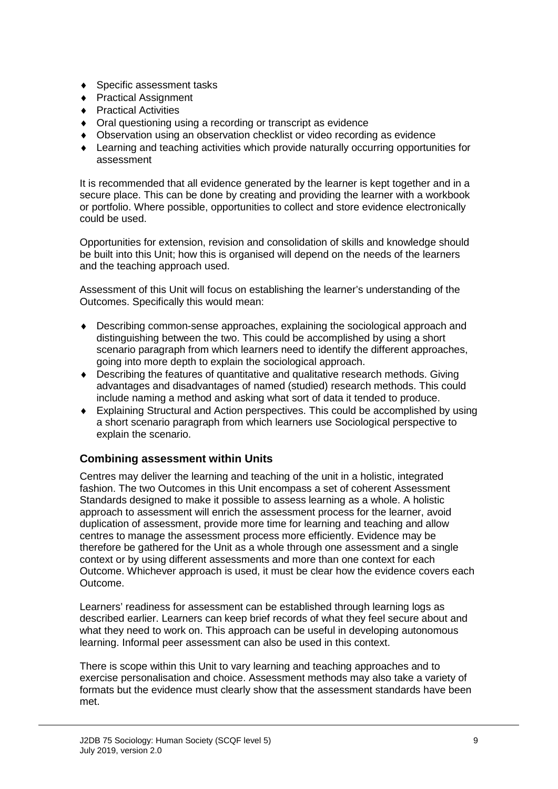- ♦ Specific assessment tasks
- ♦ Practical Assignment
- ♦ Practical Activities
- ♦ Oral questioning using a recording or transcript as evidence
- ♦ Observation using an observation checklist or video recording as evidence
- ♦ Learning and teaching activities which provide naturally occurring opportunities for assessment

It is recommended that all evidence generated by the learner is kept together and in a secure place. This can be done by creating and providing the learner with a workbook or portfolio. Where possible, opportunities to collect and store evidence electronically could be used.

Opportunities for extension, revision and consolidation of skills and knowledge should be built into this Unit; how this is organised will depend on the needs of the learners and the teaching approach used.

Assessment of this Unit will focus on establishing the learner's understanding of the Outcomes. Specifically this would mean:

- ♦ Describing common-sense approaches, explaining the sociological approach and distinguishing between the two. This could be accomplished by using a short scenario paragraph from which learners need to identify the different approaches, going into more depth to explain the sociological approach.
- ♦ Describing the features of quantitative and qualitative research methods. Giving advantages and disadvantages of named (studied) research methods. This could include naming a method and asking what sort of data it tended to produce.
- ♦ Explaining Structural and Action perspectives. This could be accomplished by using a short scenario paragraph from which learners use Sociological perspective to explain the scenario.

#### **Combining assessment within Units**

Centres may deliver the learning and teaching of the unit in a holistic, integrated fashion. The two Outcomes in this Unit encompass a set of coherent Assessment Standards designed to make it possible to assess learning as a whole. A holistic approach to assessment will enrich the assessment process for the learner, avoid duplication of assessment, provide more time for learning and teaching and allow centres to manage the assessment process more efficiently. Evidence may be therefore be gathered for the Unit as a whole through one assessment and a single context or by using different assessments and more than one context for each Outcome. Whichever approach is used, it must be clear how the evidence covers each Outcome.

Learners' readiness for assessment can be established through learning logs as described earlier. Learners can keep brief records of what they feel secure about and what they need to work on. This approach can be useful in developing autonomous learning. Informal peer assessment can also be used in this context.

There is scope within this Unit to vary learning and teaching approaches and to exercise personalisation and choice. Assessment methods may also take a variety of formats but the evidence must clearly show that the assessment standards have been met.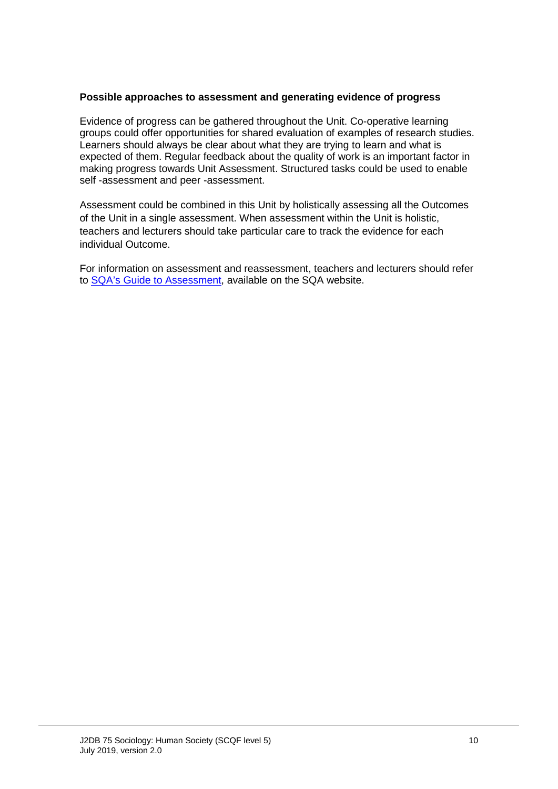#### **Possible approaches to assessment and generating evidence of progress**

Evidence of progress can be gathered throughout the Unit. Co-operative learning groups could offer opportunities for shared evaluation of examples of research studies. Learners should always be clear about what they are trying to learn and what is expected of them. Regular feedback about the quality of work is an important factor in making progress towards Unit Assessment. Structured tasks could be used to enable self -assessment and peer -assessment.

Assessment could be combined in this Unit by holistically assessing all the Outcomes of the Unit in a single assessment. When assessment within the Unit is holistic, teachers and lecturers should take particular care to track the evidence for each individual Outcome.

For information on assessment and reassessment, teachers and lecturers should refer to [SQA's Guide to Assessment,](http://www.sqa.org.uk/files_ccc/Guide_To_Assessment.pdf) available on the SQA website.